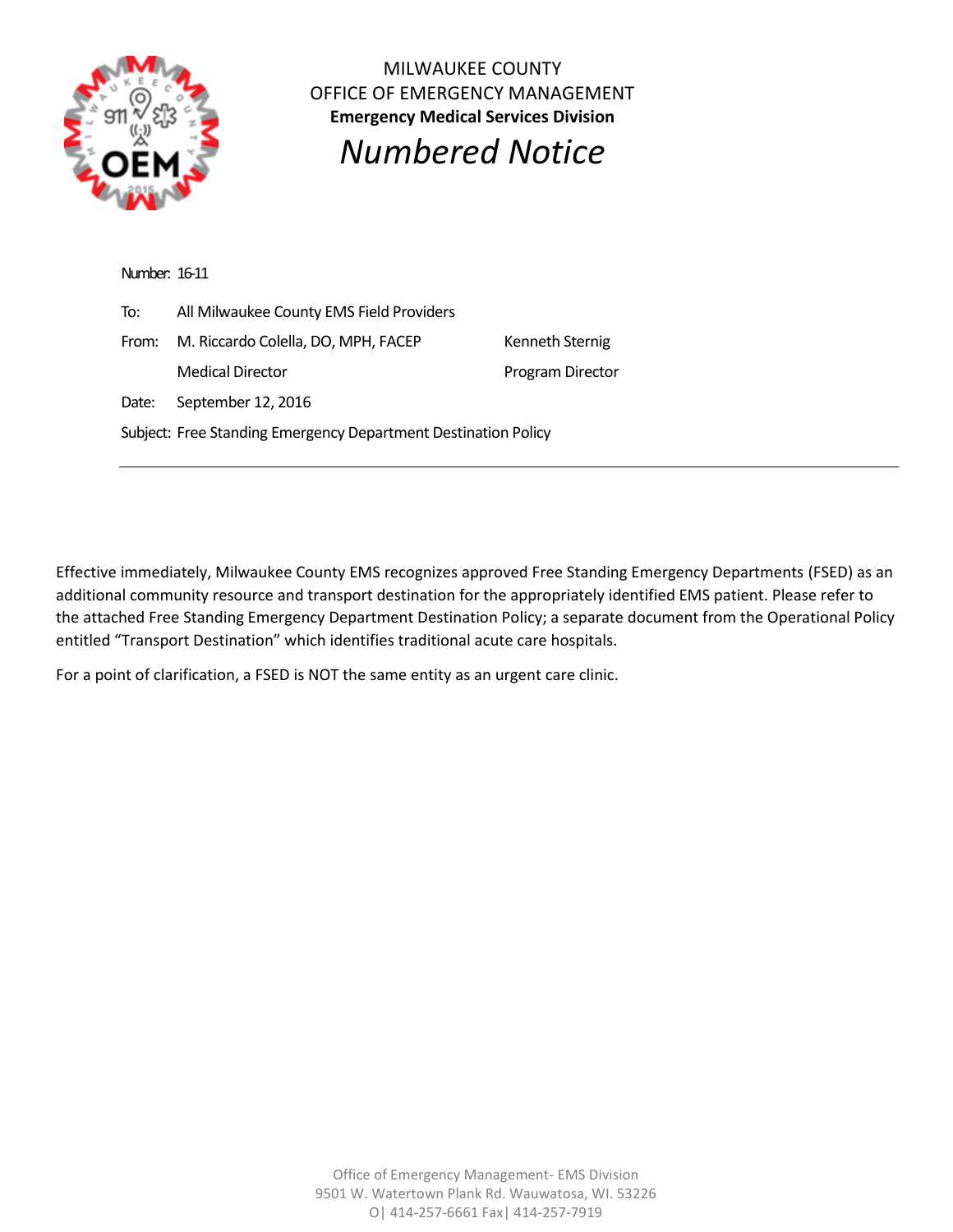

MILWAUKEE COUNTY OFFICE OF EMERGENCY MANAGEMENT **Emergency Medical Services Division**

*Numbered Notice*

| Number: 16-11                                                  |                                          |                  |
|----------------------------------------------------------------|------------------------------------------|------------------|
| To:                                                            | All Milwaukee County EMS Field Providers |                  |
| From:                                                          | M. Riccardo Colella, DO, MPH, FACEP      | Kenneth Sternig  |
|                                                                | <b>Medical Director</b>                  | Program Director |
| Date:                                                          | September 12, 2016                       |                  |
| Subject: Free Standing Emergency Department Destination Policy |                                          |                  |

Effective immediately, Milwaukee County EMS recognizes approved Free Standing Emergency Departments (FSED) as an additional community resource and transport destination for the appropriately identified EMS patient. Please refer to the attached Free Standing Emergency Department Destination Policy; a separate document from the Operational Policy entitled "Transport Destination" which identifies traditional acute care hospitals.

For a point of clarification, a FSED is NOT the same entity as an urgent care clinic.